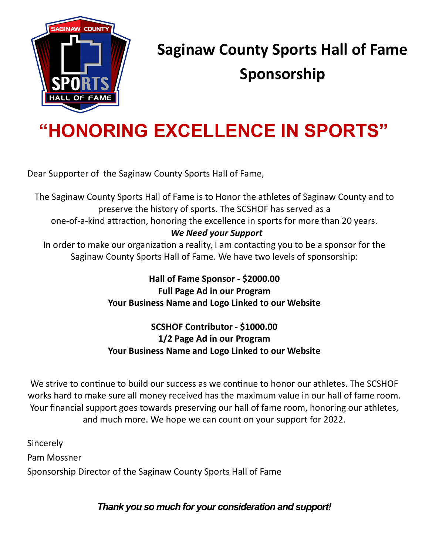

## **Saginaw County Sports Hall of Fame Sponsorship**

# **"HONORING EXCELLENCE IN SPORTS"**

Dear Supporter of the Saginaw County Sports Hall of Fame,

The Saginaw County Sports Hall of Fame is to Honor the athletes of Saginaw County and to preserve the history of sports. The SCSHOF has served as a one-of-a-kind attraction, honoring the excellence in sports for more than 20 years. *We Need your Support* In order to make our organization a reality, I am contacting you to be a sponsor for the Saginaw County Sports Hall of Fame. We have two levels of sponsorship:

> **Hall of Fame Sponsor - \$2000.00 Full Page Ad in our Program Your Business Name and Logo Linked to our Website**

#### **SCSHOF Contributor - \$1000.00 1/2 Page Ad in our Program Your Business Name and Logo Linked to our Website**

We strive to continue to build our success as we continue to honor our athletes. The SCSHOF works hard to make sure all money received has the maximum value in our hall of fame room. Your financial support goes towards preserving our hall of fame room, honoring our athletes, and much more. We hope we can count on your support for 2022.

**Sincerely** Pam Mossner Sponsorship Director of the Saginaw County Sports Hall of Fame

*Thank you so much for your consideration and support!*